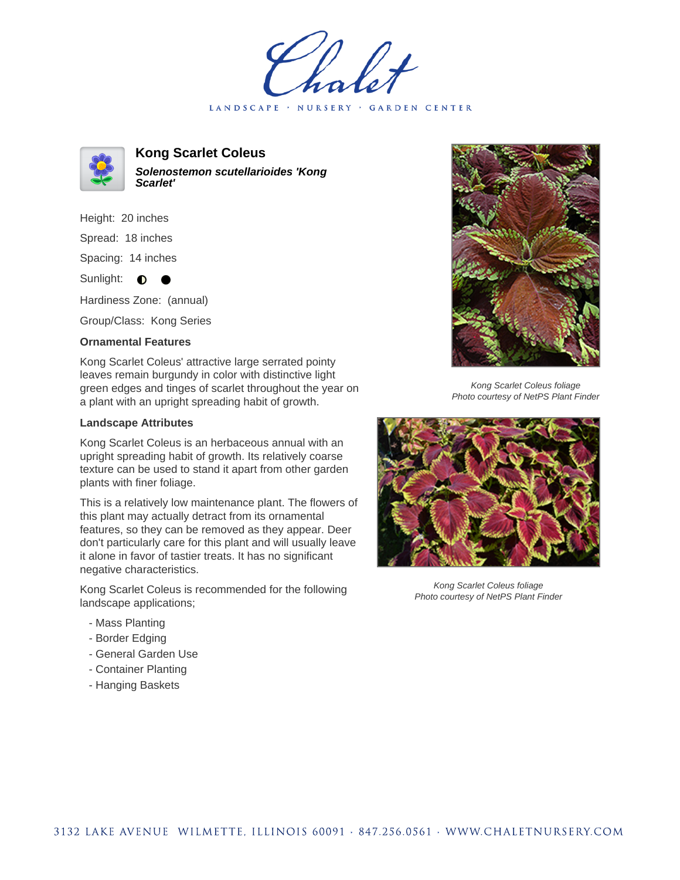LANDSCAPE · NURSERY · GARDEN CENTER



**Kong Scarlet Coleus Solenostemon scutellarioides 'Kong Scarlet'**

Height: 20 inches Spread: 18 inches Spacing: 14 inches

Sunlight:  $\bullet$  $\bullet$ 

Hardiness Zone: (annual)

Group/Class: Kong Series

## **Ornamental Features**

Kong Scarlet Coleus' attractive large serrated pointy leaves remain burgundy in color with distinctive light green edges and tinges of scarlet throughout the year on a plant with an upright spreading habit of growth.

## **Landscape Attributes**

Kong Scarlet Coleus is an herbaceous annual with an upright spreading habit of growth. Its relatively coarse texture can be used to stand it apart from other garden plants with finer foliage.

This is a relatively low maintenance plant. The flowers of this plant may actually detract from its ornamental features, so they can be removed as they appear. Deer don't particularly care for this plant and will usually leave it alone in favor of tastier treats. It has no significant negative characteristics.

Kong Scarlet Coleus is recommended for the following landscape applications;

- Mass Planting
- Border Edging
- General Garden Use
- Container Planting
- Hanging Baskets



Kong Scarlet Coleus foliage Photo courtesy of NetPS Plant Finder



Kong Scarlet Coleus foliage Photo courtesy of NetPS Plant Finder